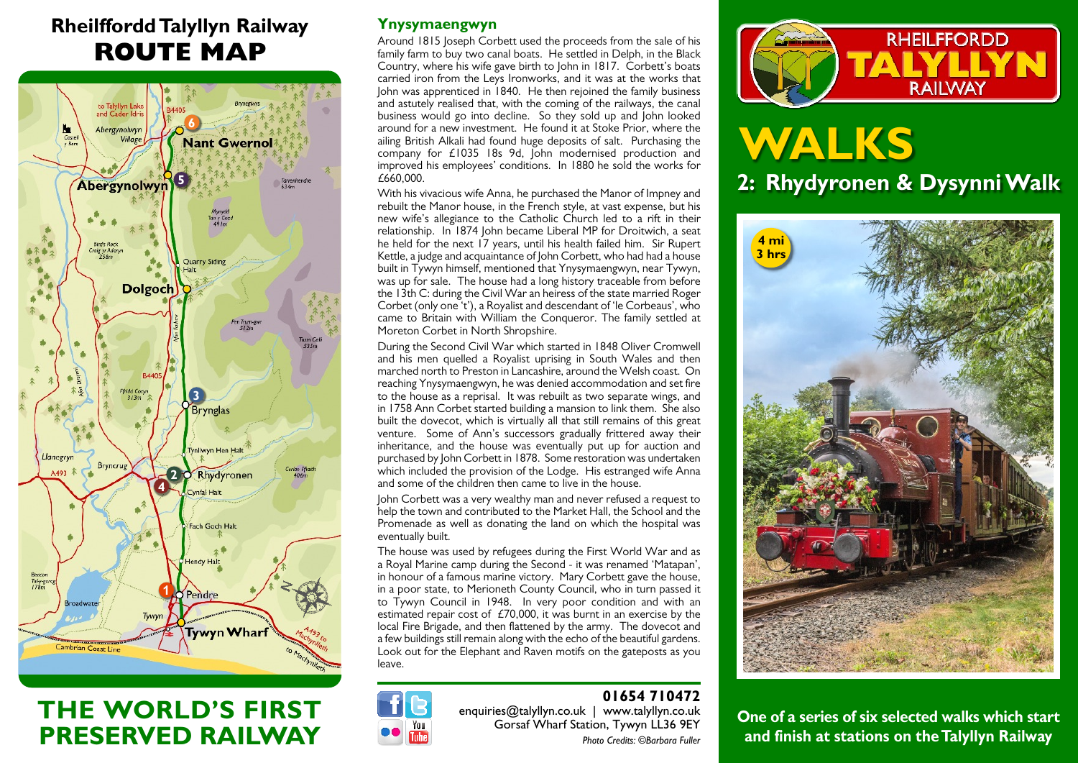## **Rheilffordd Talyllyn Railway ROUTE MAP**



## **THE WORLD'S FIRST PRESERVED RAILWAY**

#### **Ynysymaengwyn**

Around 1815 Joseph Corbett used the proceeds from the sale of his family farm to buy two canal boats. He settled in Delph, in the Black Country, where his wife gave birth to John in 1817. Corbett's boats carried iron from the Leys Ironworks, and it was at the works that John was apprenticed in 1840. He then rejoined the family business and astutely realised that, with the coming of the railways, the canal business would go into decline. So they sold up and John looked around for a new investment. He found it at Stoke Prior, where the ailing British Alkali had found huge deposits of salt. Purchasing the company for £1035 18s 9d, John modernised production and improved his employees' conditions. In 1880 he sold the works for £660,000.

With his vivacious wife Anna, he purchased the Manor of Impney and rebuilt the Manor house, in the French style, at vast expense, but his new wife's allegiance to the Catholic Church led to a rift in their relationship. In 1874 John became Liberal MP for Droitwich, a seat he held for the next 17 years, until his health failed him. Sir Rupert Kettle, a judge and acquaintance of John Corbett, who had had a house built in Tywyn himself, mentioned that Ynysymaengwyn, near Tywyn, was up for sale. The house had a long history traceable from before the 13th C: during the Civil War an heiress of the state married Roger Corbet (only one 't'), a Royalist and descendant of 'le Corbeaus', who came to Britain with William the Conqueror. The family settled at Moreton Corbet in North Shropshire.

During the Second Civil War which started in 1848 Oliver Cromwell and his men quelled a Royalist uprising in South Wales and then marched north to Preston in Lancashire, around the Welsh coast. On reaching Ynysymaengwyn, he was denied accommodation and set fire to the house as a reprisal. It was rebuilt as two separate wings, and in 1758 Ann Corbet started building a mansion to link them. She also built the dovecot, which is virtually all that still remains of this great venture. Some of Ann's successors gradually frittered away their inheritance, and the house was eventually put up for auction and purchased by John Corbett in 1878. Some restoration was undertaken which included the provision of the Lodge. His estranged wife Anna and some of the children then came to live in the house.

John Corbett was a very wealthy man and never refused a request to help the town and contributed to the Market Hall, the School and the Promenade as well as donating the land on which the hospital was eventually built.

The house was used by refugees during the First World War and as a Royal Marine camp during the Second - it was renamed 'Matapan', in honour of a famous marine victory. Mary Corbett gave the house, in a poor state, to Merioneth County Council, who in turn passed it to Tywyn Council in 1948. In very poor condition and with an estimated repair cost of  $E70,000$ , it was burnt in an exercise by the local Fire Brigade, and then flattened by the army. The dovecot and a few buildings still remain along with the echo of the beautiful gardens. Look out for the Elephant and Raven motifs on the gateposts as you leave.



#### **01654 710472**

 enquiries@talyllyn.co.uk | www.talyllyn.co.uk Gorsaf Wharf Station, Tywyn LL36 9EY *Photo Credits: ©Barbara Fuller*



# **WALKS 2: Rhydyronen & Dysynni Walk**



**One of a series of six selected walks which start and finish at stations on the Talyllyn Railway**